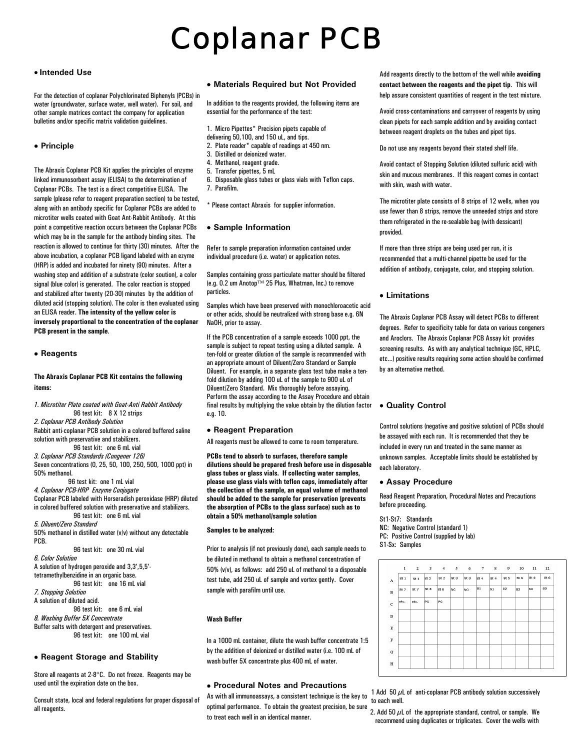# Coplanar PCB

# • **Intended Use**

For the detection of coplanar Polychlorinated Biphenyls (PCBs) in water (groundwater, surface water, well water). For soil, and other sample matrices contact the company for application bulletins and/or specific matrix validation guidelines.

# • **Principle**

The Abraxis Coplanar PCB Kit applies the principles of enzyme linked immunosorbent assay (ELISA) to the determination of Coplanar PCBs. The test is a direct competitive ELISA. The sample (please refer to reagent preparation section) to be tested, along with an antibody specific for Coplanar PCBs are added to microtiter wells coated with Goat Ant-Rabbit Antibody. At this point a competitive reaction occurs between the Coplanar PCBs which may be in the sample for the antibody binding sites. The reaction is allowed to continue for thirty (30) minutes. After the above incubation, a coplanar PCB ligand labeled with an ezyme (HRP) is added and incubated for ninety (90) minutes. After a washing step and addition of a substrate (color soution), a color signal (blue color) is generated. The color reaction is stopped and stabilized after twenty (20-30) minutes by the addition of diluted acid (stopping solution). The color is then evaluated using an ELISA reader. **The intensity of the yellow color is inversely proportional to the concentration of the coplanar PCB present in the sample**.

#### • **Reagents**

# **The Abraxis Coplanar PCB Kit contains the following items:**

*1. Microtiter Plate coated with Goat-Anti Rabbit Antibody*

 96 test kit: 8 X 12 strips *2. Coplanar PCB Antibody Solution*  Rabbit anti-coplanar PCB solution in a colored buffered saline solution with preservative and stabilizers. 96 test kit: one 6 mL vial *3. Coplanar PCB Standards (Congener 126)* Seven concentrations (0, 25, 50, 100, 250, 500, 1000 ppt) in 50% methanol. 96 test kit: one 1 mL vial *4. Coplanar PCB-HRP Enzyme Conjugate* Coplanar PCB labeled with Horseradish peroxidase (HRP) diluted in colored buffered solution with preservative and stabilizers. 96 test kit: one 6 mL vial *5. Diluent/Zero Standard* 50% methanol in distilled water (v/v) without any detectable PCB. 96 test kit: one 30 mL vial *6. Color Solution* A solution of hydrogen peroxide and 3,3',5,5' tetramethylbenzidine in an organic base. 96 test kit: one 16 mL vial *7. Stopping Solution* A solution of diluted acid. 96 test kit: one 6 mL vial *8. Washing Buffer 5X Concentrate* Buffer salts with detergent and preservatives.

#### • **Reagent Storage and Stability**

Store all reagents at 2-8°C. Do not freeze. Reagents may be used until the expiration date on the box.

96 test kit: one 100 mL vial

Consult state, local and federal regulations for proper disposal of all reagents.

#### • **Materials Required but Not Provided**

In addition to the reagents provided, the following items are essential for the performance of the test:

- 1. Micro Pipettes\* Precision pipets capable of
- delivering 50,100, and 150 uL, and tips.
- 2. Plate reader\* capable of readings at 450 nm.
- 3. Distilled or deionized water. 4. Methanol, reagent grade.
- 5. Transfer pipettes, 5 mL
- 6. Disposable glass tubes or glass vials with Teflon caps.
- 7. Parafilm.
- 

\* Please contact Abraxis for supplier information.

#### • **Sample Information**

Refer to sample preparation information contained under individual procedure (i.e. water) or application notes.

Samples containing gross particulate matter should be filtered (e.g. 0.2 um Anotop™ 25 Plus, Whatman, Inc.) to remove particles.

Samples which have been preserved with monochloroacetic acid or other acids, should be neutralized with strong base e.g. 6N NaOH, prior to assay.

If the PCB concentration of a sample exceeds 1000 ppt, the sample is subject to repeat testing using a diluted sample. A ten-fold or greater dilution of the sample is recommended with an appropriate amount of Diluent/Zero Standard or Sample Diluent. For example, in a separate glass test tube make a tenfold dilution by adding 100 uL of the sample to 900 uL of Diluent/Zero Standard. Mix thoroughly before assaying. Perform the assay according to the Assay Procedure and obtain final results by multiplying the value obtain by the dilution factor e.g. 10.

#### • **Reagent Preparation**

All reagents must be allowed to come to room temperature.

**PCBs tend to absorb to surfaces, therefore sample dilutions should be prepared fresh before use in disposable glass tubes or glass vials. If collecting water samples, please use glass vials with teflon caps, immediately after the collection of the sample, an equal volume of methanol should be added to the sample for preservation (prevents the absorption of PCBs to the glass surface) such as to obtain a 50% methanol/sample solution** 

## **Samples to be analyzed:**

Prior to analysis (if not previously done), each sample needs to be diluted in methanol to obtain a methanol concentration of 50% (v/v), as follows: add 250 uL of methanol to a disposable test tube, add 250 uL of sample and vortex gently. Cover sample with parafilm until use.

#### **Wash Buffer**

In a 1000 mL container, dilute the wash buffer concentrate 1:5 by the addition of deionized or distilled water (i.e. 100 mL of wash buffer 5X concentrate plus 400 mL of water.

# • **Procedural Notes and Precautions**

As with all immunoassays, a consistent technique is the key to optimal performance. To obtain the greatest precision, be sure to treat each well in an identical manner.

Add reagents directly to the bottom of the well while **avoiding contact between the reagents and the pipet tip**. This will help assure consistent quantities of reagent in the test mixture.

Avoid cross-contaminations and carryover of reagents by using clean pipets for each sample addition and by avoiding contact between reagent droplets on the tubes and pipet tips.

Do not use any reagents beyond their stated shelf life.

Avoid contact of Stopping Solution (diluted sulfuric acid) with skin and mucous membranes. If this reagent comes in contact with skin, wash with water.

The microtiter plate consists of 8 strips of 12 wells, when you use fewer than 8 strips, remove the unneeded strips and store them refrigerated in the re-sealable bag (with dessicant) provided.

If more than three strips are being used per run, it is recommended that a multi-channel pipette be used for the addition of antibody, conjugate, color, and stopping solution.

# • **Limitations**

The Abraxis Coplanar PCB Assay will detect PCBs to different degrees. Refer to specificity table for data on various congeners and Aroclors. The Abraxis Coplanar PCB Assay kit provides screening results. As with any analytical technique (GC, HPLC, etc...) positive results requiring some action should be confirmed by an alternative method.

# • **Quality Control**

Control solutions (negative and positive solution) of PCBs should be assayed with each run. It is recommended that they be included in every run and treated in the same manner as unknown samples. Acceptable limits should be established by each laboratory.

#### • **Assay Procedure**

Read Reagent Preparation, Procedural Notes and Precautions before proceeding.

St1-St7: Standards NC: Negative Control (standard 1) PC: Positive Control (supplied by lab) S1-Sx: Samples

|              | 1    | $\mathbf{2}$    | 3               | $\overline{4}$  | 5   | 6               | $\tau$          | 8               | 9               | 10   | 11   | <b>12</b>    |
|--------------|------|-----------------|-----------------|-----------------|-----|-----------------|-----------------|-----------------|-----------------|------|------|--------------|
| $\mathbf A$  | St1  | st <sub>1</sub> | St <sub>2</sub> | St <sub>2</sub> | st3 | St <sub>3</sub> | St <sub>4</sub> | St <sub>4</sub> | St <sub>5</sub> | St 5 | St 6 | ${\bf St}$ 6 |
| $\, {\bf B}$ | St 7 | St <sub>7</sub> | St 8            | St 8            | NC. | NC.             | S1              | ${\bf s}$ 1     | 82              | 82   | s3   | $^{s3}$      |
| $\mathbf C$  | etc. | etc.            | PC              | PC              |     |                 |                 |                 |                 |      |      |              |
| D            |      |                 |                 |                 |     |                 |                 |                 |                 |      |      |              |
| $\mathbf E$  |      |                 |                 |                 |     |                 |                 |                 |                 |      |      |              |
| $\mathbf F$  |      |                 |                 |                 |     |                 |                 |                 |                 |      |      |              |
| ${\bf G}$    |      |                 |                 |                 |     |                 |                 |                 |                 |      |      |              |
| $\, {\bf H}$ |      |                 |                 |                 |     |                 |                 |                 |                 |      |      |              |

1 Add 50  $\mu$ L of anti-coplanar PCB antibody solution successively to each well. to each well.

2. Add 50  $\mu$ L of the appropriate standard, control, or sample. We recommend using duplicates or triplicates. Cover the wells with